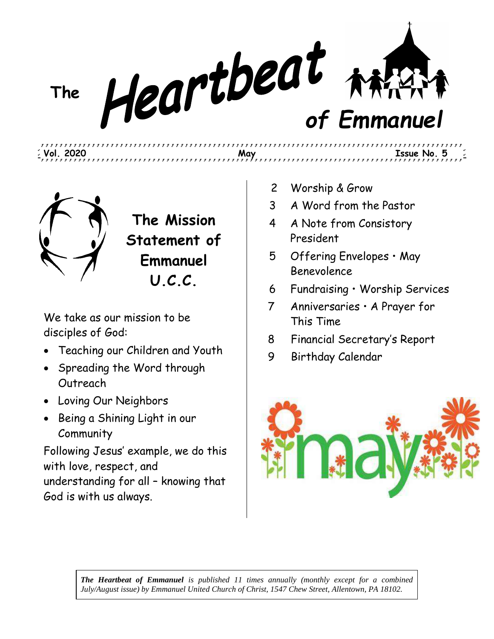**The** *of Emmanuel*

,,,,,,,,,,,,,,,,,,,,,

**Vol. 2020 May Issue No. 5**



**The Mission Statement of Emmanuel U.C.C.**

We take as our mission to be disciples of God:

- Teaching our Children and Youth
- Spreading the Word through Outreach
- Loving Our Neighbors
- Being a Shining Light in our **Community**

Following Jesus' example, we do this with love, respect, and understanding for all – knowing that God is with us always.

- 2 Worship & Grow
- 3 A Word from the Pastor
- 4 A Note from Consistory President
- 5 Offering Envelopes May Benevolence
- 6 Fundraising Worship Services

,,,,,,,,,,,,,,,,,,,,,,,,

- 7 Anniversaries A Prayer for This Time
- 8 Financial Secretary's Report
- 9 Birthday Calendar



*The Heartbeat of Emmanuel is published 11 times annually (monthly except for a combined July/August issue) by Emmanuel United Church of Christ, 1547 Chew Street, Allentown, PA 18102.*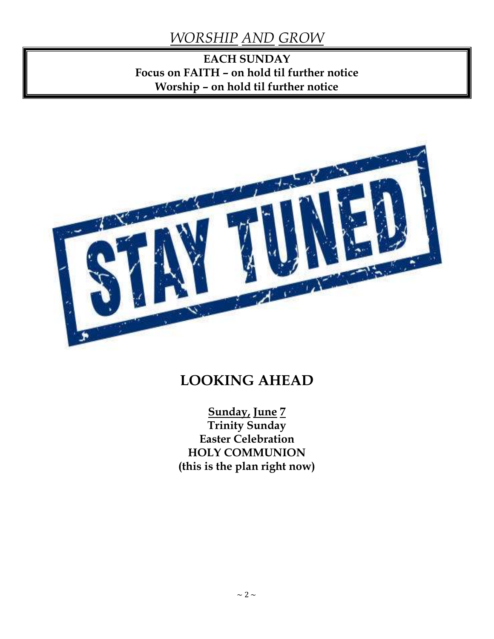## *WORSHIP AND GROW*

### **EACH SUNDAY Focus on FAITH – on hold til further notice Worship – on hold til further notice**



## **LOOKING AHEAD**

**Sunday, June 7 Trinity Sunday Easter Celebration HOLY COMMUNION (this is the plan right now)**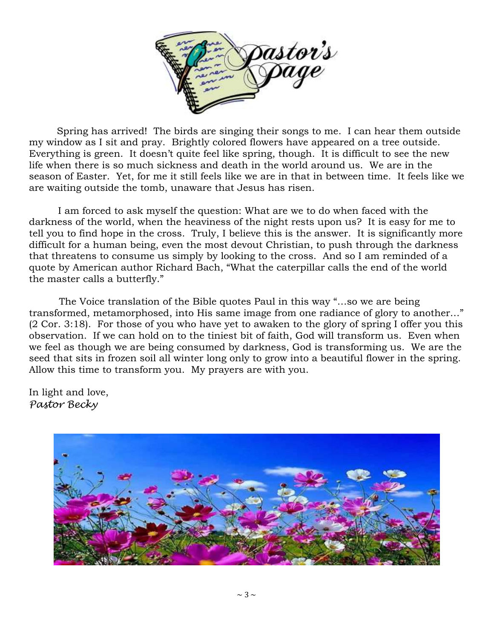

 Spring has arrived! The birds are singing their songs to me. I can hear them outside my window as I sit and pray. Brightly colored flowers have appeared on a tree outside. Everything is green. It doesn't quite feel like spring, though. It is difficult to see the new life when there is so much sickness and death in the world around us. We are in the season of Easter. Yet, for me it still feels like we are in that in between time. It feels like we are waiting outside the tomb, unaware that Jesus has risen.

I am forced to ask myself the question: What are we to do when faced with the darkness of the world, when the heaviness of the night rests upon us? It is easy for me to tell you to find hope in the cross. Truly, I believe this is the answer. It is significantly more difficult for a human being, even the most devout Christian, to push through the darkness that threatens to consume us simply by looking to the cross. And so I am reminded of a quote by American author Richard Bach, "What the caterpillar calls the end of the world the master calls a butterfly."

 The Voice translation of the Bible quotes Paul in this way "…so we are being transformed, metamorphosed, into His same image from one radiance of glory to another…" (2 Cor. 3:18). For those of you who have yet to awaken to the glory of spring I offer you this observation. If we can hold on to the tiniest bit of faith, God will transform us. Even when we feel as though we are being consumed by darkness, God is transforming us. We are the seed that sits in frozen soil all winter long only to grow into a beautiful flower in the spring. Allow this time to transform you. My prayers are with you.

In light and love, *Pastor Becky*

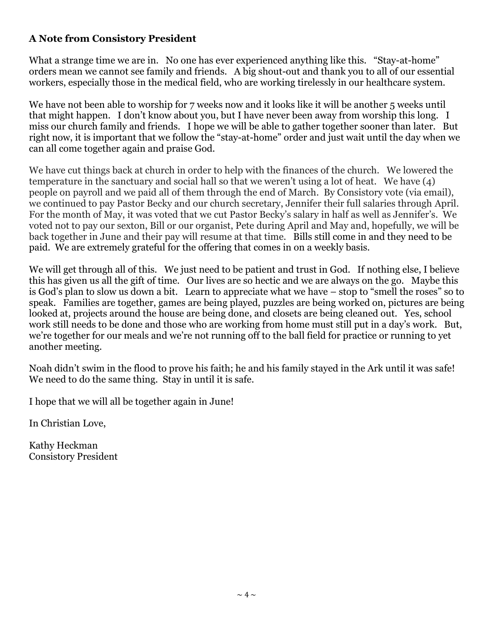#### **A Note from Consistory President**

What a strange time we are in. No one has ever experienced anything like this. "Stay-at-home" orders mean we cannot see family and friends. A big shout-out and thank you to all of our essential workers, especially those in the medical field, who are working tirelessly in our healthcare system.

We have not been able to worship for 7 weeks now and it looks like it will be another 5 weeks until that might happen. I don't know about you, but I have never been away from worship this long. I miss our church family and friends. I hope we will be able to gather together sooner than later. But right now, it is important that we follow the "stay-at-home" order and just wait until the day when we can all come together again and praise God.

We have cut things back at church in order to help with the finances of the church. We lowered the temperature in the sanctuary and social hall so that we weren't using a lot of heat. We have (4) people on payroll and we paid all of them through the end of March. By Consistory vote (via email), we continued to pay Pastor Becky and our church secretary, Jennifer their full salaries through April. For the month of May, it was voted that we cut Pastor Becky's salary in half as well as Jennifer's. We voted not to pay our sexton, Bill or our organist, Pete during April and May and, hopefully, we will be back together in June and their pay will resume at that time. Bills still come in and they need to be paid. We are extremely grateful for the offering that comes in on a weekly basis.

We will get through all of this. We just need to be patient and trust in God. If nothing else, I believe this has given us all the gift of time. Our lives are so hectic and we are always on the go. Maybe this is God's plan to slow us down a bit. Learn to appreciate what we have – stop to "smell the roses" so to speak. Families are together, games are being played, puzzles are being worked on, pictures are being looked at, projects around the house are being done, and closets are being cleaned out. Yes, school work still needs to be done and those who are working from home must still put in a day's work. But, we're together for our meals and we're not running off to the ball field for practice or running to yet another meeting.

Noah didn't swim in the flood to prove his faith; he and his family stayed in the Ark until it was safe! We need to do the same thing. Stay in until it is safe.

I hope that we will all be together again in June!

In Christian Love,

Kathy Heckman Consistory President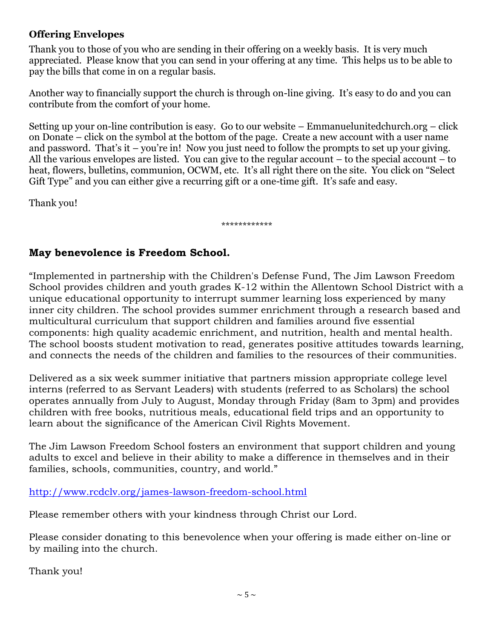#### **Offering Envelopes**

Thank you to those of you who are sending in their offering on a weekly basis. It is very much appreciated. Please know that you can send in your offering at any time. This helps us to be able to pay the bills that come in on a regular basis.

Another way to financially support the church is through on-line giving. It's easy to do and you can contribute from the comfort of your home.

Setting up your on-line contribution is easy. Go to our website – Emmanuelunitedchurch.org – click on Donate – click on the symbol at the bottom of the page. Create a new account with a user name and password. That's it – you're in! Now you just need to follow the prompts to set up your giving. All the various envelopes are listed. You can give to the regular account – to the special account – to heat, flowers, bulletins, communion, OCWM, etc. It's all right there on the site. You click on "Select Gift Type" and you can either give a recurring gift or a one-time gift. It's safe and easy.

Thank you!

\*\*\*\*\*\*\*\*\*\*\*\*

#### **May benevolence is Freedom School.**

"Implemented in partnership with the Children's Defense Fund, The Jim Lawson Freedom School provides children and youth grades K-12 within the Allentown School District with a unique educational opportunity to interrupt summer learning loss experienced by many inner city children. The school provides summer enrichment through a research based and multicultural curriculum that support children and families around five essential components: high quality academic enrichment, and nutrition, health and mental health. The school boosts student motivation to read, generates positive attitudes towards learning, and connects the needs of the children and families to the resources of their communities.

Delivered as a six week summer initiative that partners mission appropriate college level interns (referred to as Servant Leaders) with students (referred to as Scholars) the school operates annually from July to August, Monday through Friday (8am to 3pm) and provides children with free books, nutritious meals, educational field trips and an opportunity to learn about the significance of the American Civil Rights Movement.

The Jim Lawson Freedom School fosters an environment that support children and young adults to excel and believe in their ability to make a difference in themselves and in their families, schools, communities, country, and world."

<http://www.rcdclv.org/james-lawson-freedom-school.html>

Please remember others with your kindness through Christ our Lord.

Please consider donating to this benevolence when your offering is made either on-line or by mailing into the church.

Thank you!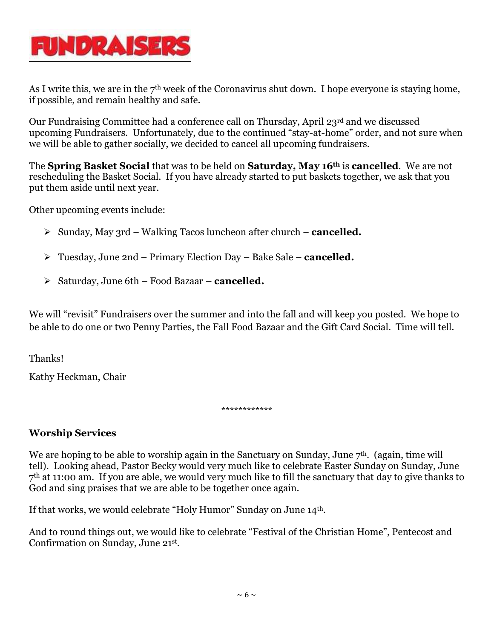

As I write this, we are in the  $7<sup>th</sup>$  week of the Coronavirus shut down. I hope everyone is staying home, if possible, and remain healthy and safe.

Our Fundraising Committee had a conference call on Thursday, April 23rd and we discussed upcoming Fundraisers. Unfortunately, due to the continued "stay-at-home" order, and not sure when we will be able to gather socially, we decided to cancel all upcoming fundraisers.

The **Spring Basket Social** that was to be held on **Saturday, May 16th** is **cancelled**. We are not rescheduling the Basket Social. If you have already started to put baskets together, we ask that you put them aside until next year.

Other upcoming events include:

- $\triangleright$  Sunday, May 3rd Walking Tacos luncheon after church **cancelled.**
- Tuesday, June 2nd Primary Election Day Bake Sale **cancelled.**
- Saturday, June 6th Food Bazaar **cancelled.**

We will "revisit" Fundraisers over the summer and into the fall and will keep you posted. We hope to be able to do one or two Penny Parties, the Fall Food Bazaar and the Gift Card Social. Time will tell.

Thanks!

Kathy Heckman, Chair

\*\*\*\*\*\*\*\*\*\*\*\*

#### **Worship Services**

We are hoping to be able to worship again in the Sanctuary on Sunday, June  $7<sup>th</sup>$ . (again, time will tell). Looking ahead, Pastor Becky would very much like to celebrate Easter Sunday on Sunday, June 7<sup>th</sup> at 11:00 am. If you are able, we would very much like to fill the sanctuary that day to give thanks to God and sing praises that we are able to be together once again.

If that works, we would celebrate "Holy Humor" Sunday on June 14th.

And to round things out, we would like to celebrate "Festival of the Christian Home", Pentecost and Confirmation on Sunday, June 21st .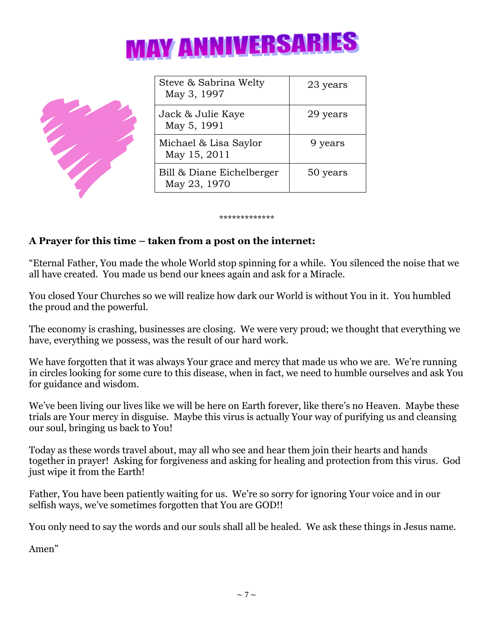



| Steve & Sabrina Welty<br>May 3, 1997      | 23 years |
|-------------------------------------------|----------|
| Jack & Julie Kaye<br>May 5, 1991          | 29 years |
| Michael & Lisa Saylor<br>May 15, 2011     | 9 years  |
| Bill & Diane Eichelberger<br>May 23, 1970 | 50 years |

#### \*\*\*\*\*\*\*\*\*\*\*\*\*

#### **A Prayer for this time – taken from a post on the internet:**

"Eternal Father, You made the whole World stop spinning for a while. You silenced the noise that we all have created. You made us bend our knees again and ask for a Miracle.

You closed Your Churches so we will realize how dark our World is without You in it. You humbled the proud and the powerful.

The economy is crashing, businesses are closing. We were very proud; we thought that everything we have, everything we possess, was the result of our hard work.

We have forgotten that it was always Your grace and mercy that made us who we are. We're running in circles looking for some cure to this disease, when in fact, we need to humble ourselves and ask You for guidance and wisdom.

We've been living our lives like we will be here on Earth forever, like there's no Heaven. Maybe these trials are Your mercy in disguise. Maybe this virus is actually Your way of purifying us and cleansing our soul, bringing us back to You!

Today as these words travel about, may all who see and hear them join their hearts and hands together in prayer! Asking for forgiveness and asking for healing and protection from this virus. God just wipe it from the Earth!

Father, You have been patiently waiting for us. We're so sorry for ignoring Your voice and in our selfish ways, we've sometimes forgotten that You are GOD!!

You only need to say the words and our souls shall all be healed. We ask these things in Jesus name.

Amen"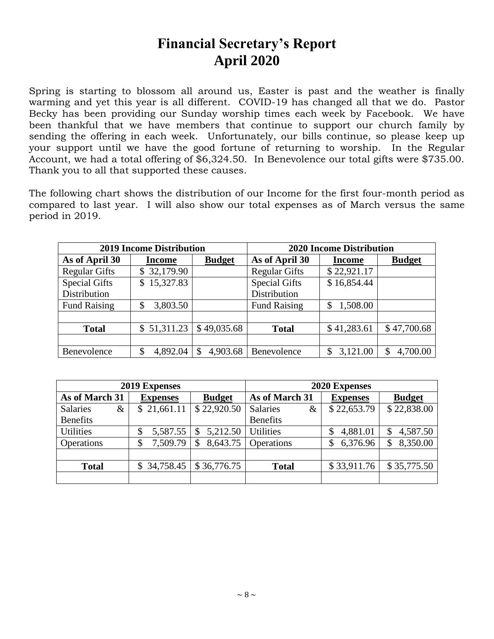## **Financial Secretary's Report April 2020**

Spring is starting to blossom all around us, Easter is past and the weather is finally warming and yet this year is all different. COVID-19 has changed all that we do. Pastor Becky has been providing our Sunday worship times each week by Facebook. We have been thankful that we have members that continue to support our church family by sending the offering in each week. Unfortunately, our bills continue, so please keep up your support until we have the good fortune of returning to worship. In the Regular Account, we had a total offering of \$6,324.50. In Benevolence our total gifts were \$735.00. Thank you to all that supported these causes.

The following chart shows the distribution of our Income for the first four-month period as compared to last year. I will also show our total expenses as of March versus the same period in 2019.

| <b>2019 Income Distribution</b> |                 |               | <b>2020 Income Distribution</b> |               |               |  |
|---------------------------------|-----------------|---------------|---------------------------------|---------------|---------------|--|
| As of April 30                  | Income          | <b>Budget</b> | As of April 30                  | <b>Income</b> | <b>Budget</b> |  |
| <b>Regular Gifts</b>            | 32,179.90<br>\$ |               | <b>Regular Gifts</b>            | \$22,921.17   |               |  |
| <b>Special Gifts</b>            | 15,327.83<br>\$ |               | <b>Special Gifts</b>            | \$16,854.44   |               |  |
| Distribution                    |                 |               | Distribution                    |               |               |  |
| <b>Fund Raising</b>             | 3,803.50<br>\$  |               | <b>Fund Raising</b>             | 1,508.00      |               |  |
|                                 |                 |               |                                 |               |               |  |
| <b>Total</b>                    | 51,311.23<br>\$ | \$49,035.68   | <b>Total</b>                    | \$41,283.61   | \$47,700.68   |  |
|                                 |                 |               |                                 |               |               |  |
| Benevolence                     | 4,892.04<br>\$  | 4,903.68      | Benevolence                     | 3,121.00      | 4,700.00      |  |

| 2019 Expenses           |                             |               | 2020 Expenses     |                 |                |
|-------------------------|-----------------------------|---------------|-------------------|-----------------|----------------|
| As of March 31          | <b>Expenses</b>             | <b>Budget</b> | As of March 31    | <b>Expenses</b> | <b>Budget</b>  |
| <b>Salaries</b><br>$\&$ | 21,661.11<br>$\mathbb{S}^-$ | \$22,920.50   | Salaries<br>$\&$  | \$22,653.79     | \$22,838.00    |
| <b>Benefits</b>         |                             |               | <b>Benefits</b>   |                 |                |
| <b>Utilities</b>        | 5,587.55<br>\$              | 5,212.50<br>S | <b>Utilities</b>  | 4,881.01        | 4,587.50       |
| Operations              | 7,509.79<br>\$              | 8,643.75      | <b>Operations</b> | 6,376.96        | 8,350.00<br>\$ |
|                         |                             |               |                   |                 |                |
| <b>Total</b>            | 34,758.45<br>\$.            | \$36,776.75   | <b>Total</b>      | \$33,911.76     | \$35,775.50    |
|                         |                             |               |                   |                 |                |